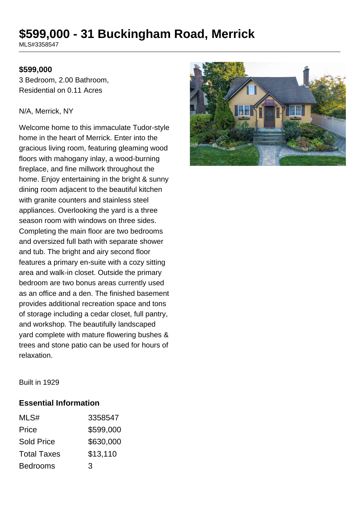# **\$599,000 - 31 Buckingham Road, Merrick**

MLS#3358547

### **\$599,000**

3 Bedroom, 2.00 Bathroom, Residential on 0.11 Acres

#### N/A, Merrick, NY

Welcome home to this immaculate Tudor-style home in the heart of Merrick. Enter into the gracious living room, featuring gleaming wood floors with mahogany inlay, a wood-burning fireplace, and fine millwork throughout the home. Enjoy entertaining in the bright & sunny dining room adjacent to the beautiful kitchen with granite counters and stainless steel appliances. Overlooking the yard is a three season room with windows on three sides. Completing the main floor are two bedrooms and oversized full bath with separate shower and tub. The bright and airy second floor features a primary en-suite with a cozy sitting area and walk-in closet. Outside the primary bedroom are two bonus areas currently used as an office and a den. The finished basement provides additional recreation space and tons of storage including a cedar closet, full pantry, and workshop. The beautifully landscaped yard complete with mature flowering bushes & trees and stone patio can be used for hours of relaxation.



Built in 1929

#### **Essential Information**

| MLS#               | 3358547   |
|--------------------|-----------|
| Price              | \$599,000 |
| <b>Sold Price</b>  | \$630,000 |
| <b>Total Taxes</b> | \$13,110  |
| <b>Bedrooms</b>    | 3         |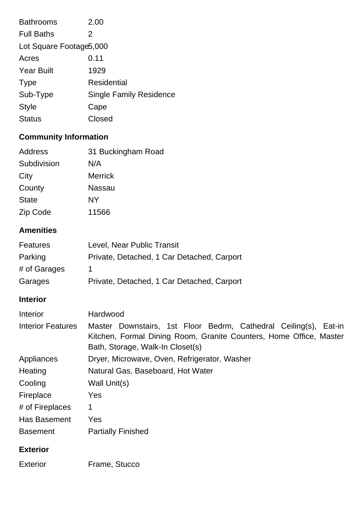| 2.00                           |  |  |
|--------------------------------|--|--|
| 2                              |  |  |
| Lot Square Footage 5,000       |  |  |
| 0.11                           |  |  |
| 1929                           |  |  |
| Residential                    |  |  |
| <b>Single Family Residence</b> |  |  |
| Cape                           |  |  |
| Closed                         |  |  |
|                                |  |  |

# **Community Information**

| Address      | 31 Buckingham Road |
|--------------|--------------------|
| Subdivision  | N/A                |
| City         | <b>Merrick</b>     |
| County       | Nassau             |
| <b>State</b> | NΥ                 |
| Zip Code     | 11566              |

# **Amenities**

| <b>Features</b>          | Level, Near Public Transit                                                                                                                                                 |
|--------------------------|----------------------------------------------------------------------------------------------------------------------------------------------------------------------------|
| Parking                  | Private, Detached, 1 Car Detached, Carport                                                                                                                                 |
| # of Garages             | 1                                                                                                                                                                          |
| Garages                  | Private, Detached, 1 Car Detached, Carport                                                                                                                                 |
| <b>Interior</b>          |                                                                                                                                                                            |
| Interior                 | Hardwood                                                                                                                                                                   |
| <b>Interior Features</b> | Master Downstairs, 1st Floor Bedrm, Cathedral Ceiling(s), Eat-in<br>Kitchen, Formal Dining Room, Granite Counters, Home Office, Master<br>Bath, Storage, Walk-In Closet(s) |
| Appliances               | Dryer, Microwave, Oven, Refrigerator, Washer                                                                                                                               |
| Heating                  | Natural Gas, Baseboard, Hot Water                                                                                                                                          |
| Cooling                  | Wall Unit(s)                                                                                                                                                               |
| Fireplace                | Yes                                                                                                                                                                        |
| # of Fireplaces          | 1                                                                                                                                                                          |
| Has Basement             | Yes                                                                                                                                                                        |
| <b>Basement</b>          | <b>Partially Finished</b>                                                                                                                                                  |
| <b>Exterior</b>          |                                                                                                                                                                            |
| <b>Exterior</b>          | Frame, Stucco                                                                                                                                                              |